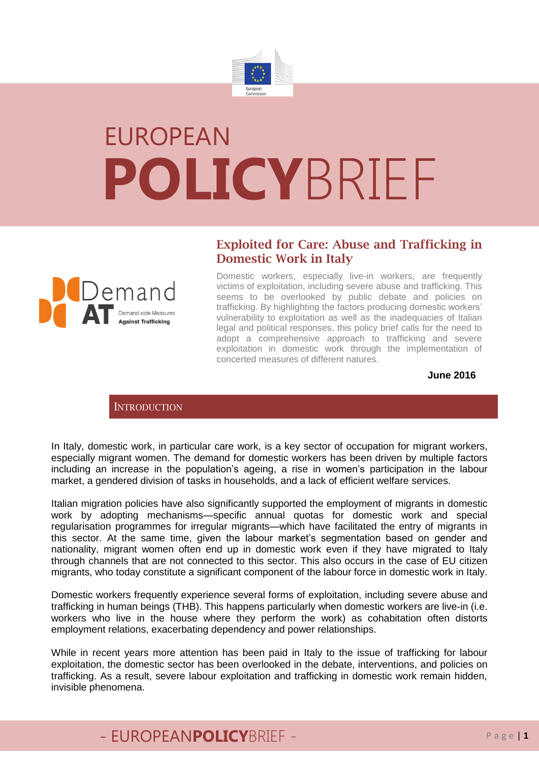

# EUROPEAN **POLICY**BRIEF

### **Exploited for Care: Abuse and Trafficking in Domestic Work in Italy**



Domestic workers, especially live-in workers, are frequently victims of exploitation, including severe abuse and trafficking. This seems to be overlooked by public debate and policies on trafficking. By highlighting the factors producing domestic workers' vulnerability to exploitation as well as the inadequacies of Italian legal and political responses, this policy brief calls for the need to adopt a comprehensive approach to trafficking and severe exploitation in domestic work through the implementation of concerted measures of different natures.

#### **June 2016**

### **INTRODUCTION**

In Italy, domestic work, in particular care work, is a key sector of occupation for migrant workers, especially migrant women. The demand for domestic workers has been driven by multiple factors including an increase in the population's ageing, a rise in women's participation in the labour market, a gendered division of tasks in households, and a lack of efficient welfare services.

Italian migration policies have also significantly supported the employment of migrants in domestic work by adopting mechanisms—specific annual quotas for domestic work and special regularisation programmes for irregular migrants—which have facilitated the entry of migrants in this sector. At the same time, given the labour market's segmentation based on gender and nationality, migrant women often end up in domestic work even if they have migrated to Italy through channels that are not connected to this sector. This also occurs in the case of EU citizen migrants, who today constitute a significant component of the labour force in domestic work in Italy.

Domestic workers frequently experience several forms of exploitation, including severe abuse and trafficking in human beings (THB). This happens particularly when domestic workers are live-in (i.e. workers who live in the house where they perform the work) as cohabitation often distorts employment relations, exacerbating dependency and power relationships.

While in recent years more attention has been paid in Italy to the issue of trafficking for labour exploitation, the domestic sector has been overlooked in the debate, interventions, and policies on trafficking. As a result, severe labour exploitation and trafficking in domestic work remain hidden, invisible phenomena.

# - EUROPEANPOLICYBRIEF - Page | 1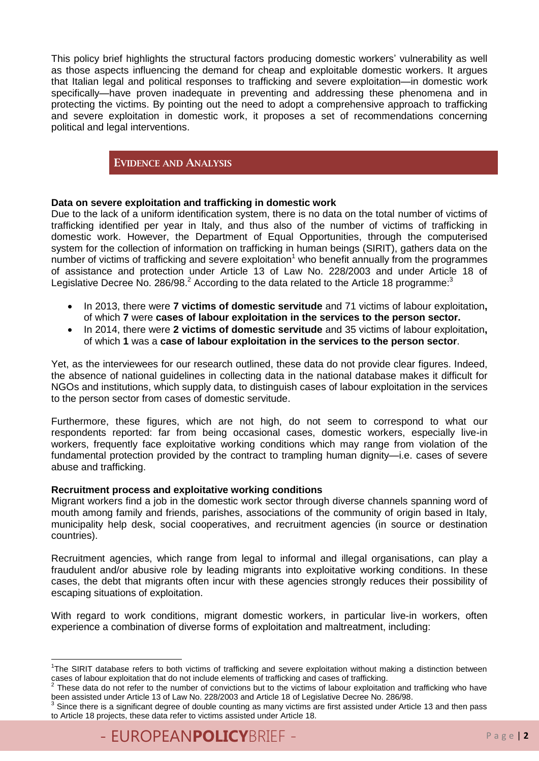This policy brief highlights the structural factors producing domestic workers' vulnerability as well as those aspects influencing the demand for cheap and exploitable domestic workers. It argues that Italian legal and political responses to trafficking and severe exploitation—in domestic work specifically—have proven inadequate in preventing and addressing these phenomena and in protecting the victims. By pointing out the need to adopt a comprehensive approach to trafficking and severe exploitation in domestic work, it proposes a set of recommendations concerning political and legal interventions.

### **EVIDENCE AND ANALYSIS**

### **Data on severe exploitation and trafficking in domestic work**

Due to the lack of a uniform identification system, there is no data on the total number of victims of trafficking identified per year in Italy, and thus also of the number of victims of trafficking in domestic work. However, the Department of Equal Opportunities, through the computerised system for the collection of information on trafficking in human beings (SIRIT), gathers data on the number of victims of trafficking and severe exploitation<sup>1</sup> who benefit annually from the programmes of assistance and protection under Article 13 of Law No. 228/2003 and under Article 18 of Legislative Decree No. 286/98. $^2$  According to the data related to the Article 18 programme:

- In 2013, there were **7 victims of domestic servitude** and 71 victims of labour exploitation**,**  of which **7** were **cases of labour exploitation in the services to the person sector.**
- In 2014, there were **2 victims of domestic servitude** and 35 victims of labour exploitation**,**  of which **1** was a **case of labour exploitation in the services to the person sector**.

Yet, as the interviewees for our research outlined, these data do not provide clear figures. Indeed, the absence of national guidelines in collecting data in the national database makes it difficult for NGOs and institutions, which supply data, to distinguish cases of labour exploitation in the services to the person sector from cases of domestic servitude.

Furthermore, these figures, which are not high, do not seem to correspond to what our respondents reported: far from being occasional cases, domestic workers, especially live-in workers, frequently face exploitative working conditions which may range from violation of the fundamental protection provided by the contract to trampling human dignity—i.e. cases of severe abuse and trafficking.

#### **Recruitment process and exploitative working conditions**

Migrant workers find a job in the domestic work sector through diverse channels spanning word of mouth among family and friends, parishes, associations of the community of origin based in Italy, municipality help desk, social cooperatives, and recruitment agencies (in source or destination countries).

Recruitment agencies, which range from legal to informal and illegal organisations, can play a fraudulent and/or abusive role by leading migrants into exploitative working conditions. In these cases, the debt that migrants often incur with these agencies strongly reduces their possibility of escaping situations of exploitation.

With regard to work conditions, migrant domestic workers, in particular live-in workers, often experience a combination of diverse forms of exploitation and maltreatment, including:

**.** 

<sup>&</sup>lt;sup>1</sup>The SIRIT database refers to both victims of trafficking and severe exploitation without making a distinction between cases of labour exploitation that do not include elements of trafficking and cases of trafficking.<br><sup>2</sup> These data do not refer to the number of convictions but to the victims of labour exploitation and trafficking who have

been assisted under Article 13 of Law No. 228/2003 and Article 18 of Legislative Decree No. 286/98.

<sup>3</sup> Since there is a significant degree of double counting as many victims are first assisted under Article 13 and then pass to Article 18 projects, these data refer to victims assisted under Article 18.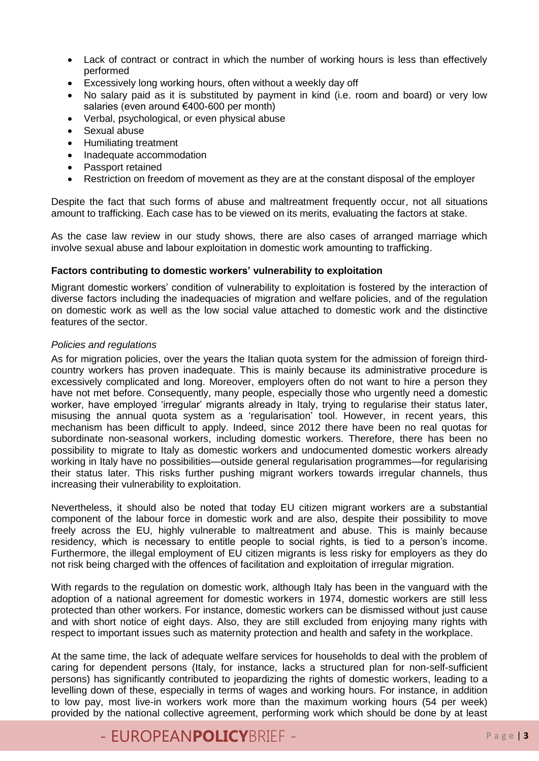- Lack of contract or contract in which the number of working hours is less than effectively performed
- Excessively long working hours, often without a weekly day off
- No salary paid as it is substituted by payment in kind (i.e. room and board) or very low salaries (even around €400-600 per month)
- Verbal, psychological, or even physical abuse
- Sexual abuse
- Humiliating treatment
- Inadequate accommodation
- Passport retained
- Restriction on freedom of movement as they are at the constant disposal of the employer

Despite the fact that such forms of abuse and maltreatment frequently occur, not all situations amount to trafficking. Each case has to be viewed on its merits, evaluating the factors at stake.

As the case law review in our study shows, there are also cases of arranged marriage which involve sexual abuse and labour exploitation in domestic work amounting to trafficking.

#### **Factors contributing to domestic workers' vulnerability to exploitation**

Migrant domestic workers' condition of vulnerability to exploitation is fostered by the interaction of diverse factors including the inadequacies of migration and welfare policies, and of the regulation on domestic work as well as the low social value attached to domestic work and the distinctive features of the sector.

#### *Policies and regulations*

As for migration policies, over the years the Italian quota system for the admission of foreign thirdcountry workers has proven inadequate. This is mainly because its administrative procedure is excessively complicated and long. Moreover, employers often do not want to hire a person they have not met before. Consequently, many people, especially those who urgently need a domestic worker, have employed 'irregular' migrants already in Italy, trying to regularise their status later, misusing the annual quota system as a 'regularisation' tool. However, in recent years, this mechanism has been difficult to apply. Indeed, since 2012 there have been no real quotas for subordinate non-seasonal workers, including domestic workers. Therefore, there has been no possibility to migrate to Italy as domestic workers and undocumented domestic workers already working in Italy have no possibilities—outside general regularisation programmes—for regularising their status later. This risks further pushing migrant workers towards irregular channels, thus increasing their vulnerability to exploitation.

Nevertheless, it should also be noted that today EU citizen migrant workers are a substantial component of the labour force in domestic work and are also, despite their possibility to move freely across the EU, highly vulnerable to maltreatment and abuse. This is mainly because residency, which is necessary to entitle people to social rights, is tied to a person's income. Furthermore, the illegal employment of EU citizen migrants is less risky for employers as they do not risk being charged with the offences of facilitation and exploitation of irregular migration.

With regards to the regulation on domestic work, although Italy has been in the vanguard with the adoption of a national agreement for domestic workers in 1974, domestic workers are still less protected than other workers. For instance, domestic workers can be dismissed without just cause and with short notice of eight days. Also, they are still excluded from enjoying many rights with respect to important issues such as maternity protection and health and safety in the workplace.

At the same time, the lack of adequate welfare services for households to deal with the problem of caring for dependent persons (Italy, for instance, lacks a structured plan for non-self-sufficient persons) has significantly contributed to jeopardizing the rights of domestic workers, leading to a levelling down of these, especially in terms of wages and working hours. For instance, in addition to low pay, most live-in workers work more than the maximum working hours (54 per week) provided by the national collective agreement, performing work which should be done by at least

# - FUROPFANPOLICYBRIFF - Page |3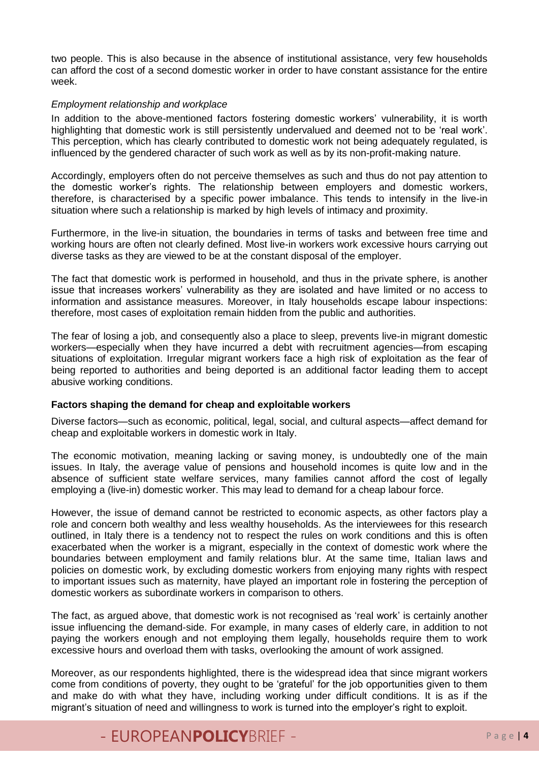two people. This is also because in the absence of institutional assistance, very few households can afford the cost of a second domestic worker in order to have constant assistance for the entire week.

#### *Employment relationship and workplace*

In addition to the above-mentioned factors fostering domestic workers' vulnerability, it is worth highlighting that domestic work is still persistently undervalued and deemed not to be 'real work'. This perception, which has clearly contributed to domestic work not being adequately regulated, is influenced by the gendered character of such work as well as by its non-profit-making nature.

Accordingly, employers often do not perceive themselves as such and thus do not pay attention to the domestic worker's rights. The relationship between employers and domestic workers, therefore, is characterised by a specific power imbalance. This tends to intensify in the live-in situation where such a relationship is marked by high levels of intimacy and proximity.

Furthermore, in the live-in situation, the boundaries in terms of tasks and between free time and working hours are often not clearly defined. Most live-in workers work excessive hours carrying out diverse tasks as they are viewed to be at the constant disposal of the employer.

The fact that domestic work is performed in household, and thus in the private sphere, is another issue that increases workers' vulnerability as they are isolated and have limited or no access to information and assistance measures. Moreover, in Italy households escape labour inspections: therefore, most cases of exploitation remain hidden from the public and authorities.

The fear of losing a job, and consequently also a place to sleep, prevents live-in migrant domestic workers—especially when they have incurred a debt with recruitment agencies—from escaping situations of exploitation. Irregular migrant workers face a high risk of exploitation as the fear of being reported to authorities and being deported is an additional factor leading them to accept abusive working conditions.

#### **Factors shaping the demand for cheap and exploitable workers**

Diverse factors—such as economic, political, legal, social, and cultural aspects—affect demand for cheap and exploitable workers in domestic work in Italy.

The economic motivation, meaning lacking or saving money, is undoubtedly one of the main issues. In Italy, the average value of pensions and household incomes is quite low and in the absence of sufficient state welfare services, many families cannot afford the cost of legally employing a (live-in) domestic worker. This may lead to demand for a cheap labour force.

However, the issue of demand cannot be restricted to economic aspects, as other factors play a role and concern both wealthy and less wealthy households. As the interviewees for this research outlined, in Italy there is a tendency not to respect the rules on work conditions and this is often exacerbated when the worker is a migrant, especially in the context of domestic work where the boundaries between employment and family relations blur. At the same time, Italian laws and policies on domestic work, by excluding domestic workers from enjoying many rights with respect to important issues such as maternity, have played an important role in fostering the perception of domestic workers as subordinate workers in comparison to others.

The fact, as argued above, that domestic work is not recognised as 'real work' is certainly another issue influencing the demand-side. For example, in many cases of elderly care, in addition to not paying the workers enough and not employing them legally, households require them to work excessive hours and overload them with tasks, overlooking the amount of work assigned.

Moreover, as our respondents highlighted, there is the widespread idea that since migrant workers come from conditions of poverty, they ought to be 'grateful' for the job opportunities given to them and make do with what they have, including working under difficult conditions. It is as if the migrant's situation of need and willingness to work is turned into the employer's right to exploit.

# - FUROPFANPOLICYBRIFF - Page | 4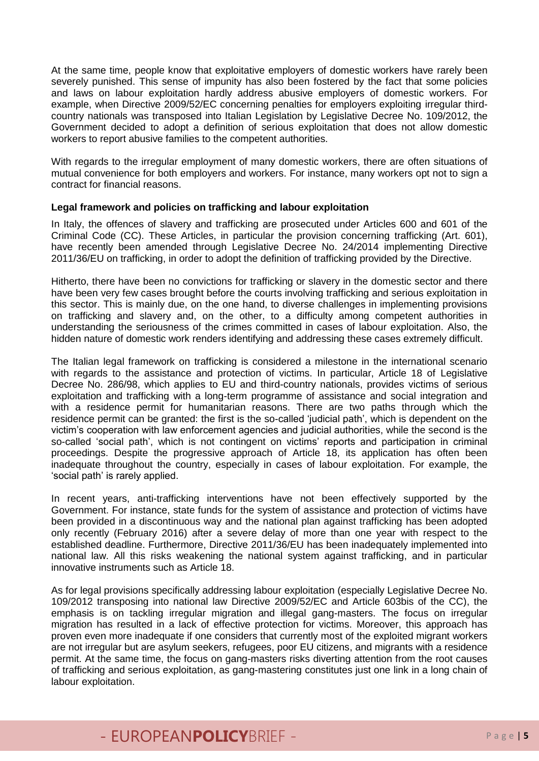At the same time, people know that exploitative employers of domestic workers have rarely been severely punished. This sense of impunity has also been fostered by the fact that some policies and laws on labour exploitation hardly address abusive employers of domestic workers. For example, when Directive 2009/52/EC concerning penalties for employers exploiting irregular thirdcountry nationals was transposed into Italian Legislation by Legislative Decree No. 109/2012, the Government decided to adopt a definition of serious exploitation that does not allow domestic workers to report abusive families to the competent authorities.

With regards to the irregular employment of many domestic workers, there are often situations of mutual convenience for both employers and workers. For instance, many workers opt not to sign a contract for financial reasons.

### **Legal framework and policies on trafficking and labour exploitation**

In Italy, the offences of slavery and trafficking are prosecuted under Articles 600 and 601 of the Criminal Code (CC). These Articles, in particular the provision concerning trafficking (Art. 601), have recently been amended through Legislative Decree No. 24/2014 implementing Directive 2011/36/EU on trafficking, in order to adopt the definition of trafficking provided by the Directive.

Hitherto, there have been no convictions for trafficking or slavery in the domestic sector and there have been very few cases brought before the courts involving trafficking and serious exploitation in this sector. This is mainly due, on the one hand, to diverse challenges in implementing provisions on trafficking and slavery and, on the other, to a difficulty among competent authorities in understanding the seriousness of the crimes committed in cases of labour exploitation. Also, the hidden nature of domestic work renders identifying and addressing these cases extremely difficult.

The Italian legal framework on trafficking is considered a milestone in the international scenario with regards to the assistance and protection of victims. In particular, Article 18 of Legislative Decree No. 286/98, which applies to EU and third-country nationals, provides victims of serious exploitation and trafficking with a long-term programme of assistance and social integration and with a residence permit for humanitarian reasons. There are two paths through which the residence permit can be granted: the first is the so-called 'judicial path', which is dependent on the victim's cooperation with law enforcement agencies and judicial authorities, while the second is the so-called 'social path', which is not contingent on victims' reports and participation in criminal proceedings. Despite the progressive approach of Article 18, its application has often been inadequate throughout the country, especially in cases of labour exploitation. For example, the 'social path' is rarely applied.

In recent years, anti-trafficking interventions have not been effectively supported by the Government. For instance, state funds for the system of assistance and protection of victims have been provided in a discontinuous way and the national plan against trafficking has been adopted only recently (February 2016) after a severe delay of more than one year with respect to the established deadline. Furthermore, Directive 2011/36/EU has been inadequately implemented into national law. All this risks weakening the national system against trafficking, and in particular innovative instruments such as Article 18.

As for legal provisions specifically addressing labour exploitation (especially Legislative Decree No. 109/2012 transposing into national law Directive 2009/52/EC and Article 603bis of the CC), the emphasis is on tackling irregular migration and illegal gang-masters. The focus on irregular migration has resulted in a lack of effective protection for victims. Moreover, this approach has proven even more inadequate if one considers that currently most of the exploited migrant workers are not irregular but are asylum seekers, refugees, poor EU citizens, and migrants with a residence permit. At the same time, the focus on gang-masters risks diverting attention from the root causes of trafficking and serious exploitation, as gang-mastering constitutes just one link in a long chain of labour exploitation.

# - FUROPFANPOLICYBRIFF - Page 15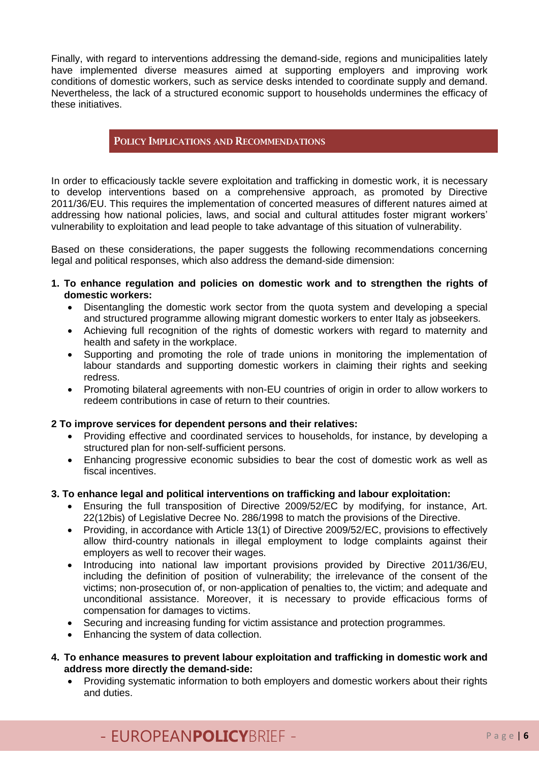Finally, with regard to interventions addressing the demand-side, regions and municipalities lately have implemented diverse measures aimed at supporting employers and improving work conditions of domestic workers, such as service desks intended to coordinate supply and demand. Nevertheless, the lack of a structured economic support to households undermines the efficacy of these initiatives.

### **POLICY IMPLICATIONS AND RECOMMENDATIONS**

In order to efficaciously tackle severe exploitation and trafficking in domestic work, it is necessary to develop interventions based on a comprehensive approach, as promoted by Directive 2011/36/EU. This requires the implementation of concerted measures of different natures aimed at addressing how national policies, laws, and social and cultural attitudes foster migrant workers' vulnerability to exploitation and lead people to take advantage of this situation of vulnerability.

Based on these considerations, the paper suggests the following recommendations concerning legal and political responses, which also address the demand-side dimension:

- **1. To enhance regulation and policies on domestic work and to strengthen the rights of domestic workers:**
	- Disentangling the domestic work sector from the quota system and developing a special and structured programme allowing migrant domestic workers to enter Italy as jobseekers.
	- Achieving full recognition of the rights of domestic workers with regard to maternity and health and safety in the workplace.
	- Supporting and promoting the role of trade unions in monitoring the implementation of labour standards and supporting domestic workers in claiming their rights and seeking redress.
	- Promoting bilateral agreements with non-EU countries of origin in order to allow workers to redeem contributions in case of return to their countries.

### **2 To improve services for dependent persons and their relatives:**

- Providing effective and coordinated services to households, for instance, by developing a structured plan for non-self-sufficient persons.
- Enhancing progressive economic subsidies to bear the cost of domestic work as well as fiscal incentives.
- **3. To enhance legal and political interventions on trafficking and labour exploitation:**
	- Ensuring the full transposition of Directive 2009/52/EC by modifying, for instance, Art. 22(12bis) of Legislative Decree No. 286/1998 to match the provisions of the Directive.
	- Providing, in accordance with Article 13(1) of Directive 2009/52/EC, provisions to effectively allow third-country nationals in illegal employment to lodge complaints against their employers as well to recover their wages.
	- Introducing into national law important provisions provided by Directive 2011/36/EU, including the definition of position of vulnerability; the irrelevance of the consent of the victims; non-prosecution of, or non-application of penalties to, the victim; and adequate and unconditional assistance. Moreover, it is necessary to provide efficacious forms of compensation for damages to victims.
	- Securing and increasing funding for victim assistance and protection programmes.
	- Enhancing the system of data collection.
- **4. To enhance measures to prevent labour exploitation and trafficking in domestic work and address more directly the demand-side:**
	- Providing systematic information to both employers and domestic workers about their rights and duties.

### - FUROPFANPOLICYBRIFF - Page |6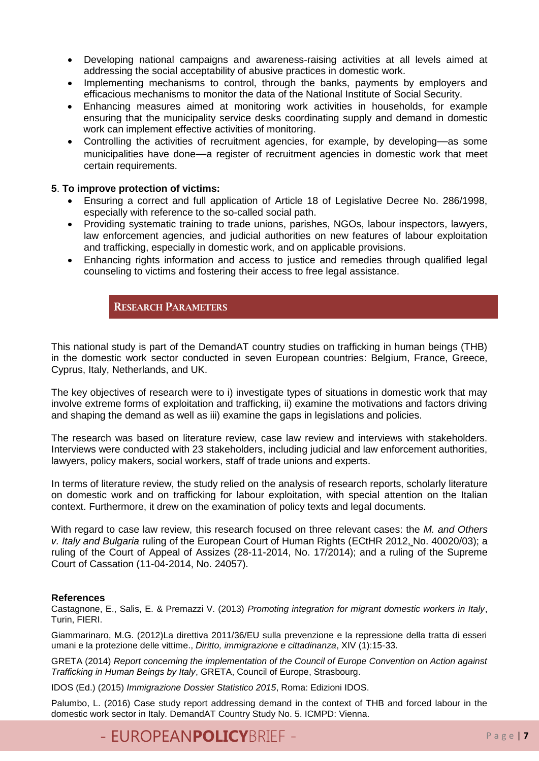- Developing national campaigns and awareness-raising activities at all levels aimed at addressing the social acceptability of abusive practices in domestic work.
- Implementing mechanisms to control, through the banks, payments by employers and efficacious mechanisms to monitor the data of the National Institute of Social Security.
- Enhancing measures aimed at monitoring work activities in households, for example ensuring that the municipality service desks coordinating supply and demand in domestic work can implement effective activities of monitoring.
- Controlling the activities of recruitment agencies, for example, by developing—as some municipalities have done—a register of recruitment agencies in domestic work that meet certain requirements.

### **5**. **To improve protection of victims:**

- Ensuring a correct and full application of Article 18 of Legislative Decree No. 286/1998, especially with reference to the so-called social path.
- Providing systematic training to trade unions, parishes, NGOs, labour inspectors, lawyers, law enforcement agencies, and judicial authorities on new features of labour exploitation and trafficking, especially in domestic work, and on applicable provisions.
- Enhancing rights information and access to justice and remedies through qualified legal counseling to victims and fostering their access to free legal assistance.

### **RESEARCH PARAMETERS**

This national study is part of the DemandAT country studies on trafficking in human beings (THB) in the domestic work sector conducted in seven European countries: Belgium, France, Greece, Cyprus, Italy, Netherlands, and UK.

The key objectives of research were to i) investigate types of situations in domestic work that may involve extreme forms of exploitation and trafficking, ii) examine the motivations and factors driving and shaping the demand as well as iii) examine the gaps in legislations and policies.

The research was based on literature review, case law review and interviews with stakeholders. Interviews were conducted with 23 stakeholders, including judicial and law enforcement authorities, lawyers, policy makers, social workers, staff of trade unions and experts.

In terms of literature review, the study relied on the analysis of research reports, scholarly literature on domestic work and on trafficking for labour exploitation, with special attention on the Italian context. Furthermore, it drew on the examination of policy texts and legal documents.

With regard to case law review, this research focused on three relevant cases: the *M. and Others v. Italy and Bulgaria* ruling of the European Court of Human Rights (ECtHR 2012, No. 40020/03); a ruling of the Court of Appeal of Assizes (28-11-2014, No. 17/2014); and a ruling of the Supreme Court of Cassation (11-04-2014, No. 24057).

#### **References**

Castagnone, E., Salis, E. & Premazzi V. (2013) *Promoting integration for migrant domestic workers in Italy*, Turin, FIERI.

Giammarinaro, M.G. (2012)La direttiva 2011/36/EU sulla prevenzione e la repressione della tratta di esseri umani e la protezione delle vittime., *Diritto, immigrazione e cittadinanza*, XIV (1):15-33.

GRETA (2014) *Report concerning the implementation of the Council of Europe Convention on Action against Trafficking in Human Beings by Italy*, GRETA, Council of Europe, Strasbourg.

IDOS (Ed.) (2015) *Immigrazione Dossier Statistico 2015*, Roma: Edizioni IDOS.

Palumbo, L. (2016) Case study report addressing demand in the context of THB and forced labour in the domestic work sector in Italy. DemandAT Country Study No. 5. ICMPD: Vienna.